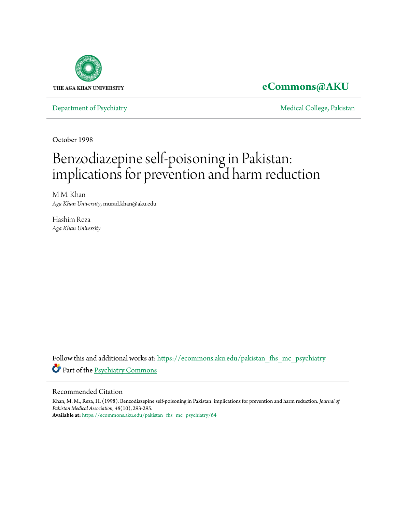

## **[eCommons@AKU](https://ecommons.aku.edu?utm_source=ecommons.aku.edu%2Fpakistan_fhs_mc_psychiatry%2F64&utm_medium=PDF&utm_campaign=PDFCoverPages)**

[Department of Psychiatry](https://ecommons.aku.edu/pakistan_fhs_mc_psychiatry?utm_source=ecommons.aku.edu%2Fpakistan_fhs_mc_psychiatry%2F64&utm_medium=PDF&utm_campaign=PDFCoverPages) **[Medical College, Pakistan](https://ecommons.aku.edu/pakistan_fhs_mc?utm_source=ecommons.aku.edu%2Fpakistan_fhs_mc_psychiatry%2F64&utm_medium=PDF&utm_campaign=PDFCoverPages)** 

October 1998

# Benzodiazepine self-poisoning in Pakistan: implications for prevention and harm reduction

M M. Khan *Aga Khan University*, murad.khan@aku.edu

Hashim Reza *Aga Khan University*

Follow this and additional works at: [https://ecommons.aku.edu/pakistan\\_fhs\\_mc\\_psychiatry](https://ecommons.aku.edu/pakistan_fhs_mc_psychiatry?utm_source=ecommons.aku.edu%2Fpakistan_fhs_mc_psychiatry%2F64&utm_medium=PDF&utm_campaign=PDFCoverPages) Part of the [Psychiatry Commons](http://network.bepress.com/hgg/discipline/704?utm_source=ecommons.aku.edu%2Fpakistan_fhs_mc_psychiatry%2F64&utm_medium=PDF&utm_campaign=PDFCoverPages)

#### Recommended Citation

Khan, M. M., Reza, H. (1998). Benzodiazepine self-poisoning in Pakistan: implications for prevention and harm reduction. *Journal of Pakistan Medical Association, 48*(10), 293-295. **Available at:** [https://ecommons.aku.edu/pakistan\\_fhs\\_mc\\_psychiatry/64](https://ecommons.aku.edu/pakistan_fhs_mc_psychiatry/64)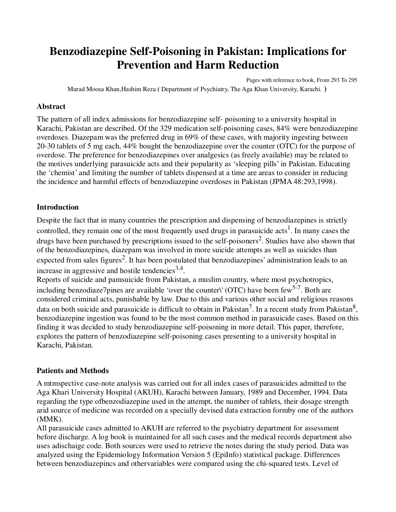## **Benzodiazepine Self-Poisoning in Pakistan: Implications for Prevention and Harm Reduction**

Pages with reference to book, From 293 To 295 Murad Moosa Khan,Hashim Reza **(** Department of Psychiatry, The Aga Khan University, Karachi. **)** 

#### **Abstract**

The pattern of all index admissions for benzodiazepine self- poisoning to a university hospital in Karachi, Pakistan are described. Of the 329 medication self-poisoning cases, 84% were benzodiazepine overdoses. Diazepam was the preferred drug in 69% of these cases, with majority ingesting between 20-30 tablets of 5 mg each, 44% bought the benzodiazepine over the counter (OTC) for the purpose of overdose. The preference for benzodiazepines over analgesics (as freely available) may be related to the motives underlying parasuicide acts and their popularity as 'sleeping pills' in Pakistan. Educating the 'chemist' and limiting the number of tablets dispensed at a time are areas to consider in reducing the incidence and harmful effects of benzodiazepine overdoses in Pakistan (JPMA 48:293,1998).

#### **Introduction**

Despite the fact that in many countries the prescription and dispensing of benzodiazepines is strictly controlled, they remain one of the most frequently used drugs in parasuicide  $\arcsin s^1$ . In many cases the drugs have been purchased by prescriptions issued to the self-poisoners<sup>2</sup>. Studies have also shown that of the benzodiazepines, diazepam was involved in more suicide attempts as well as suicides than expected from sales figures<sup>2</sup>. It has been postulated that benzodiazepines' administration leads to an increase in aggressive and hostile tendencies<sup>3,4</sup>.

Reports of suicide and pamsuicide from Pakistan, a muslim country, where most psychotropics, including benzodiaze7pines are available 'over the counter\' (OTC) have been few<sup>5-7</sup>. Both are considered criminal acts, punishable by law. Due to this and various other social and religious reasons data on both suicide and parasuicide is difficult to obtain in Pakistan<sup>7</sup>. In a recent study from Pakistan<sup>8</sup>, benzodiazepine ingestion was found to be the most common method in parasuicide cases. Based on this finding it was decided to study benzodiazepine self-poisoning in more detail. This paper, therefore, explores the pattern of benzodiazepine self-poisoning cases presenting to a university hospital in Karachi, Pakistan.

#### **Patients and Methods**

A mtmspective case-note analysis was carried out for all index cases of parasuicides admitted to the Aga Khari University Hospital (AKUH), Karachi between January, 1989 and December, 1994. Data regarding the type ofbenzodiazepine used in the attempt, the number of tablets, their dosage strength arid source of medicine was recorded on a specially devised data extraction formby one of the authors (MMK).

All parasuicide cases admitted to AKUH are referred to the psychiatry department for assessment before discharge. A log book is maintained for all such cases and the medical records department also uses adischaige code. Both sources were used to retrieve the notes during the study period. Data was analyzed using the Epidemiology Information Version 5 (EpiInfo) statistical package. Differences between benzodiazepincs and othervariables were compared using the chi-squared tests. Level of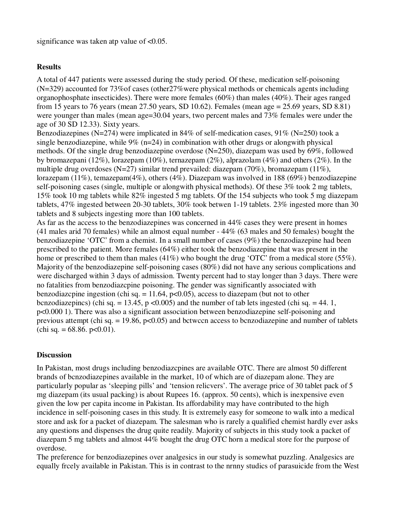significance was taken atp value of  $<0.05$ .

#### **Results**

A total of 447 patients were assessed during the study period. Of these, medication self-poisoning (N=329) accounted for 73%of cases (other27%were physical methods or chemicals agents including organophosphate insecticides). There were more females (60%) than males (40%). Their ages ranged from 15 years to 76 years (mean 27.50 years, SD 10.62). Females (mean age = 25.69 years, SD 8.81) were younger than males (mean age=30.04 years, two percent males and 73% females were under the age of 30 SD 12.33). Sixty years.

Benzodiazepines (N=274) were implicated in 84% of self-medication cases, 91% (N=250) took a single benzodiazepine, while  $9\%$  (n=24) in combination with other drugs or alongwith physical methods. Of the single drug benzodiazepine overdose (N=250), diazepam was used by 69%, followed by bromazepani (12%), lorazepam (10%), ternazepam (2%), alprazolam (4%) and others (2%). In the multiple drug overdoses (N=27) similar trend prevailed: diazepam (70%), bromazepam (11%), lorazepam (11%), temazepam(4%), others (4%). Diazepam was involved in 188 (69%) benzodiazepine self-poisoning cases (single, multiple or alongwith physical methods). Of these 3% took 2 mg tablets, 15% took 10 mg tablets while 82% ingested 5 mg tablets. Of the 154 subjects who took 5 mg diazepam tablets, 47% ingested between 20-30 tablets, 30% took betwen 1-19 tablets. 23% ingested more than 30 tablets and 8 subjects ingesting more than 100 tablets.

As far as the access to the benzodiazepines was concerned in 44% cases they were present in homes (41 males arid 70 females) while an almost equal number - 44% (63 males and 50 females) bought the benzodiazepine 'OTC' from a chemist. In a small number of cases (9%) the benzodiazepine had been prescribed to the patient. More females (64%) either took the benzodiazepine that was present in the home or prescribed to them than males (41%) who bought the drug 'OTC' from a medical store (55%). Majority of the benzodiazepine self-poisoning cases (80%) did not have any serious complications and were discharged within 3 days of admission. Twenty percent had to stay longer than 3 days. There were no fatalities from benzodiazcpine poisoning. The gender was significantly associated with benzodiazcpine ingestion (chi sq.  $= 11.64$ , p<0.05), access to diazepam (but not to other bcnzodiazepincs) (chi sq. = 13.45, p <0.005) and the number of tab lets ingested (chi sq. = 44. 1, p<0.000 1). There was also a significant association between benzodiazepine self-poisoning and previous attempt (chi sq.  $= 19.86$ ,  $p<0.05$ ) and bctwccn access to benzodiazepine and number of tablets  $\text{(chi sq.} = 68.86. \text{ p} < 0.01).$ 

#### **Discussion**

In Pakistan, most drugs including benzodiazcpines are available OTC. There are almost 50 different brands of bcnzodiazepines available in the market, 10 of which are of diazepam alone. They are particularly popular as 'sleeping pills' and 'tension relicvers'. The average price of 30 tablet pack of 5 mg diazepam (its usual packing) is about Rupees 16. (approx. 50 cents), which is inexpensive even given the low per capita income in Pakistan. Its affordability may have contributed to the high incidence in self-poisoning cases in this study. It is extremely easy for someone to walk into a medical store and ask for a packet of diazepam. The salesman who is rarely a qualified chemist hardly ever asks any questions and dispenses the drug quite readily. Majority of subjects in this study took a packet of diazepam 5 mg tablets and almost 44% bought the drug OTC horn a medical store for the purpose of overdose.

The preference for benzodiazepines over analgesics in our study is somewhat puzzling. Analgesics are equally frcely available in Pakistan. This is in contrast to the nrnny studics of parasuicide from the West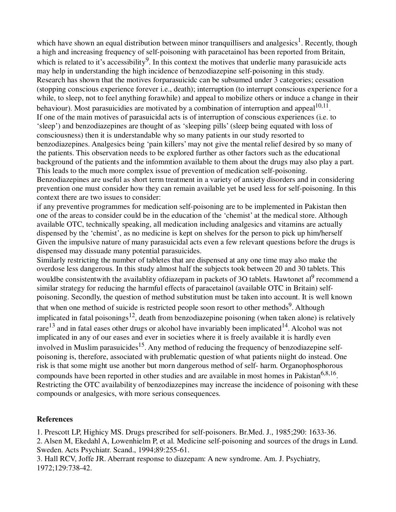which have shown an equal distribution between minor tranquillisers and analgesics<sup>1</sup>. Recently, though a high and increasing frequency of self-poisoning with paracetainol has been reported from Britain, which is related to it's accessibility<sup>9</sup>. In this context the motives that underlie many parasuicide acts may help in understanding the high incidence of benzodiazepine self-poisoning in this study. Research has shown that the motives forparasuicidc can be subsumed under 3 categories; cessation (stopping conscious experience forever i.e., death); interruption (to interrupt conscious experience for a while, to sleep, not to feel anything forawhile) and appeal to mobilize others or induce a change in their behaviour). Most parasuicidies are motivated by a combination of interruption and appeal $10,11$ . If one of the main motives of parasuicidal acts is of interruption of conscious experiences (i.e. to 'sleep') and benzodiazepines are thought of as 'sleeping pills' (sleep being equated with loss of consciousness) then it is understandable why so many patients in our study resorted to benzodiazepines. Analgesics being 'pain killers' may not give the mental relief desired by so many of the patients. This observation needs to be explored further as other factors such as the educational background of the patients and the infommtion available to them about the drugs may also play a part. This leads to the much more complex issue of prevention of medication self-poisoning. Benzodiazepines are useful as short term treatment in a variety of anxiety disorders and in considering prevention one must consider how they can remain available yet be used less for self-poisoning. In this context there are two issues to consider:

if any preventive programmes for medication self-poisoning are to be implemented in Pakistan then one of the areas to consider could be in the education of the 'chemist' at the medical store. Although available OTC, technically speaking, all medication including analgesics and vitamins are actually dispensed by the 'chemist', as no medicine is kept on shelves for the person to pick up him/herself Given the impulsive nature of many parasuicidal acts even a few relevant questions before the drugs is dispensed may dissuade many potential parasuicides.

Similarly restricting the number of tabletes that are dispensed at any one time may also make the overdose less dangerous. In this study almost half the subjects took between 20 and 30 tablets. This wouldbe consistentwith the availablity ofdiazepam in packets of 3O tablets. Hawtonet al<sup>9</sup> recommend a similar strategy for reducing the harmful effects of paracetainol (available OTC in Britain) selfpoisoning. Secondly, the question of method substitution must be taken into account. It is well known that when one method of suicide is restricted people soon resort to other methods<sup>9</sup>. Although implicated in fatal poisonings<sup>12</sup>, death from benzodiazepine poisoning (when taken alone) is relatively rare<sup>13</sup> and in fatal eases other drugs or alcohol have invariably been implicated<sup>14</sup>. Alcohol was not implicated in any of our eases and ever in societies where it is freely available it is hardly even involved in Muslim parasuicides<sup>15</sup>. Any method of reducing the frequency of benzodiazepine selfpoisoning is, therefore, associated with prublematic question of what patients niight do instead. One risk is that some might use another but morn dangerous method of self- harm. Organophosphorous compounds have been reported in other studies and are available in most homes in Pakistan<sup>6,8,16</sup>. Restricting the OTC availability of benzodiazepines may increase the incidence of poisoning with these compounds or analgesics, with more serious consequences.

### **References**

1. Prescott LP, Highicy MS. Drugs prescribed for self-poisoners. Br.Med. J., 1985;290: 1633-36. 2. Alsen M, Ekedahl A, Lowenhielm P, et al. Medicine self-poisoning and sources of the drugs in Lund. Sweden. Acts Psychiatr. Scand., 1994;89:255-61.

3. Hall RCV, Joffe JR. Aberrant response to diazepam: A new syndrome. Am. J. Psychiatry, 1972;129:738-42.